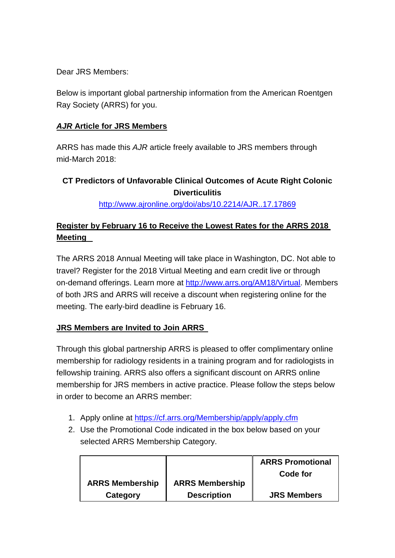Dear JRS Members:

Below is important global partnership information from the American Roentgen Ray Society (ARRS) for you.

## *AJR* **Article for JRS Members**

ARRS has made this *AJR* article freely available to JRS members through mid-March 2018:

## **CT Predictors of Unfavorable Clinical Outcomes of Acute Right Colonic Diverticulitis**

[http://www.ajronline.org/doi/abs/10.2214/AJR..17.17869](http://www.ajronline.org/doi/abs/10.2214/AJR.17.17869)

## **Register by February 16 to Receive the Lowest Rates for the ARRS 2018 Meeting**

The ARRS 2018 Annual Meeting will take place in Washington, DC. Not able to travel? Register for the 2018 Virtual Meeting and earn credit live or through on-demand offerings. Learn more at [http://www.arrs.org/AM18/Virtual.](http://www.arrs.org/AM18/Virtual) Members of both JRS and ARRS will receive a discount when registering online for the meeting. The early-bird deadline is February 16.

## **JRS Members are Invited to Join ARRS**

Through this global partnership ARRS is pleased to offer complimentary online membership for radiology residents in a training program and for radiologists in fellowship training. ARRS also offers a significant discount on ARRS online membership for JRS members in active practice. Please follow the steps below in order to become an ARRS member:

- 1. Apply online at<https://cf.arrs.org/Membership/apply/apply.cfm>
- 2. Use the Promotional Code indicated in the box below based on your selected ARRS Membership Category.

|                        |                        | <b>ARRS Promotional</b> |
|------------------------|------------------------|-------------------------|
|                        |                        | Code for                |
| <b>ARRS Membership</b> | <b>ARRS Membership</b> |                         |
| Category               | <b>Description</b>     | <b>JRS Members</b>      |